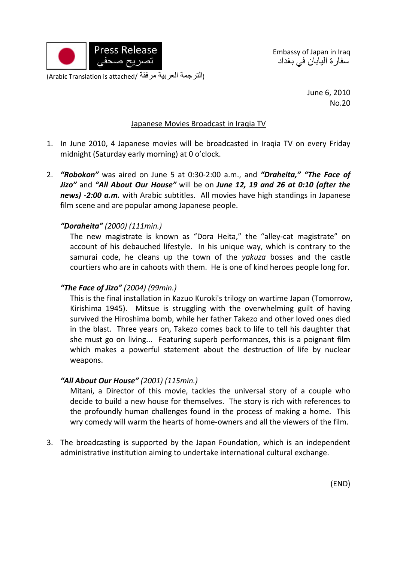

Embassy of Japan in Iraq سفارة اليابان في بغداد

(التر جمة العربية مرفقة /Arabic Translation is attached)

June 6, 2010 No.20

#### Japanese Movies Broadcast in Iraqia TV

- 1. In June 2010, 4 Japanese movies will be broadcasted in Iraqia TV on every Friday midnight (Saturday early morning) at 0 o'clock.
- 2. *"Robokon"* was aired on June 5 at 0:30‐2:00 a.m., and *"Draheita," "The Face of Jizo"* and *"All About Our House"* will be on *June 12, 19 and 26 at 0:10 (after the news) ‐2:00 a.m.* with Arabic subtitles. All movies have high standings in Japanese film scene and are popular among Japanese people.

### *"Doraheita" (2000) (111min.)*

The new magistrate is known as "Dora Heita," the "alley‐cat magistrate" on account of his debauched lifestyle. In his unique way, which is contrary to the samurai code, he cleans up the town of the *yakuza* bosses and the castle courtiers who are in cahoots with them. He is one of kind heroes people long for.

### *"The Face of Jizo" (2004) (99min.)*

This is the final installation in Kazuo Kuroki's trilogy on wartime Japan (Tomorrow, Kirishima 1945). Mitsue is struggling with the overwhelming guilt of having survived the Hiroshima bomb, while her father Takezo and other loved ones died in the blast. Three years on, Takezo comes back to life to tell his daughter that she must go on living... Featuring superb performances, this is a poignant film which makes a powerful statement about the destruction of life by nuclear weapons.

#### *"All About Our House" (2001) (115min.)*

Mitani, a Director of this movie, tackles the universal story of a couple who decide to build a new house for themselves. The story is rich with references to the profoundly human challenges found in the process of making a home. This wry comedy will warm the hearts of home‐owners and all the viewers of the film.

3. The broadcasting is supported by the Japan Foundation, which is an independent administrative institution aiming to undertake international cultural exchange.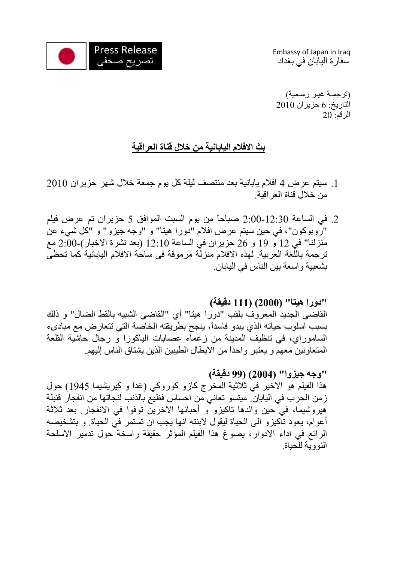

Embassy of Japan in Iraq سفارة اليابان في بغداد

(ترجمـة غيـر رسـمية) التاريخ: 6 حزيران 2010 الرقم: 20

# **بث الافلام اليابانية من خلال قناة العراقية**

- 1. سيتم عرض 4 افلام يابانية بعد منتصف ليلة كل يوم جمعة خلال شهر حزيران 2010 من خلال قناة العراقية.
- .2 في الساعة 2:00-12:30 صباحاً من يوم السبت الموافق 5 حزيران تم عرض فيلم "روبوكون"، في حين سيتم عرض افلام "دورا هيتا" و "وجه جيزو" و "كل شيء عن منزلنا" في 12 و 19 و 26 حزيران في الساعة 12:10 (بعد نشرة الاخبار)2:00- مع ترجمة باللغة العربية. لهذه الافلام منزلة مرموقة في ساحة الافلام اليابانية كما تحظى بشعبية واسعة بين الناس في اليابان.

# **"دورا هيتا" (2000) (111 دقيقة)**

القاضي الجديد المعروف بلقب "دورا هيتا" أي "القاضي الشبيه بالقط الضال" و ذلك بسبب اسلوب حياته الذي يبدو فاسدا،ً ينجح بطريقته الخاصة التي تتعارض مع مبادىء الساموراي، في تنظيف المدينة من زعماء عصابات الياكوزا و رجال حاشية القلعة المتعاونين معهم و يعتبر واحداً من الابطال الطيبين الذين يشتاق الناس إليهم.

### **"وجه جيزوا" (2004) (99 دقيقة)**

هذا الفيلم هو الاخير في ثلاثية المخرج كازو كوروكي (غداً و كيريشيما 1945) حول زمن الحرب في اليابان. ميتسو تعاني من احساس فظيع بالذنب لنجاتها من انفجار قنبلة هيروشيما، في حين والدها تاكيزو و أحبائها الاخرين توفوا في الانفجار. بعد ثلاثة أعوام، يعود تاآيزو الى الحياة ليقول لابنته انها يجب ان تستمر في الحياة. و بتشخيصه الرائع في اداء الادوار، يصوغ هذا الفيلم المؤثر حقيقة راسخة حول تدمير الاسلحة النووية للحياة.